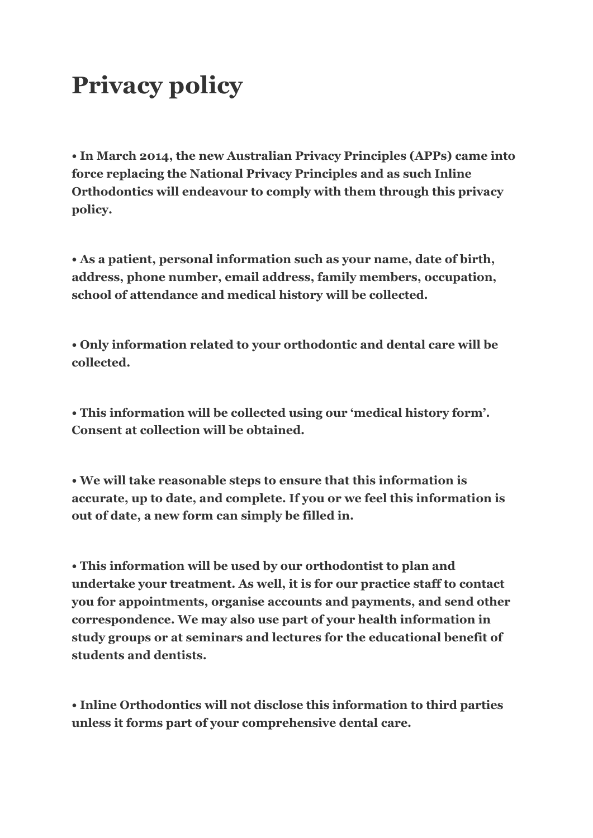## **Privacy policy**

**• In March 2014, the new Australian Privacy Principles (APPs) came into force replacing the National Privacy Principles and as such Inline Orthodontics will endeavour to comply with them through this privacy policy.** 

**• As a patient, personal information such as your name, date of birth, address, phone number, email address, family members, occupation, school of attendance and medical history will be collected.** 

**• Only information related to your orthodontic and dental care will be collected.** 

**• This information will be collected using our 'medical history form'. Consent at collection will be obtained.** 

**• We will take reasonable steps to ensure that this information is accurate, up to date, and complete. If you or we feel this information is out of date, a new form can simply be filled in.** 

**• This information will be used by our orthodontist to plan and undertake your treatment. As well, it is for our practice staff to contact you for appointments, organise accounts and payments, and send other correspondence. We may also use part of your health information in study groups or at seminars and lectures for the educational benefit of students and dentists.** 

**• Inline Orthodontics will not disclose this information to third parties unless it forms part of your comprehensive dental care.**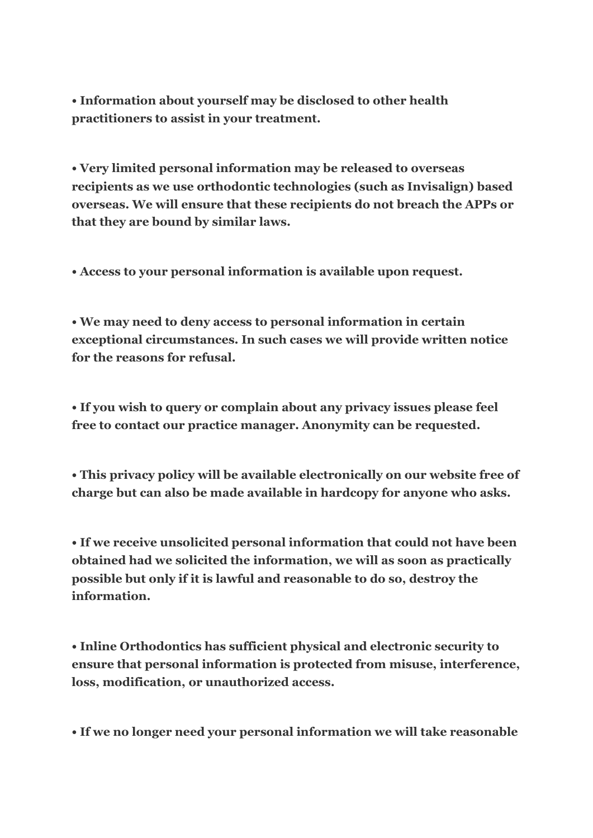**• Information about yourself may be disclosed to other health practitioners to assist in your treatment.** 

**• Very limited personal information may be released to overseas recipients as we use orthodontic technologies (such as Invisalign) based overseas. We will ensure that these recipients do not breach the APPs or that they are bound by similar laws.** 

**• Access to your personal information is available upon request.**

**• We may need to deny access to personal information in certain exceptional circumstances. In such cases we will provide written notice for the reasons for refusal.** 

**• If you wish to query or complain about any privacy issues please feel free to contact our practice manager. Anonymity can be requested.** 

**• This privacy policy will be available electronically on our website free of charge but can also be made available in hardcopy for anyone who asks.** 

**• If we receive unsolicited personal information that could not have been obtained had we solicited the information, we will as soon as practically possible but only if it is lawful and reasonable to do so, destroy the information.** 

**• Inline Orthodontics has sufficient physical and electronic security to ensure that personal information is protected from misuse, interference, loss, modification, or unauthorized access.** 

**• If we no longer need your personal information we will take reasonable**